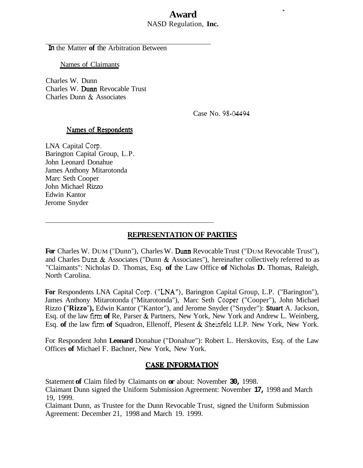## **Award**  NASD Regulation, **Inc.**

**In** the Matter **of** the Arbitration Between

Names of Claimants

Charles W. Dunn Charles W. Dum Revocable Trust Charles Dunn & Associates

Case No. 98-04494

 $\ddot{\phantom{a}}$ 

#### Names of Respondents

LNA Capital Corp. Barington Capital Group, L.P. John Leonard Donahue James Anthony Mitarotonda Marc Seth Cooper John Michael Rizzo Edwin Kantor Jerome Snyder

# **REPRESENTATION OF PARTIES**

For Charles W. DUM ("Dunn"), Charles W. Dunn Revocable Trust ("DUM Revocable Trust"), and Charles Dum & Associates ("Dunn & Associates"), hereinafter collectively referred to as "Claimants": Nicholas D. Thomas, Esq. **of** the Law Office **of** Nicholas **D.** Thomas, Raleigh, North Carolina.

**For** Respondents LNA Capital Corp. ("LNA"), Barington Capital Group, L.P. ("Barington"), James Anthony Mitarotonda ("Mitarotonda"), Marc Seth Cooper ("Cooper"), John Michael Rizzo **("Rizzo"),** Edwin Kantor ("Kantor"), and Jerome Snyder ("Snyder"): **Stuart** A. Jackson, Esq. of the law fum **of** Re, Parser & Partners, New York, New York and Andrew L. Weinberg, Esq. **of** the law fum **of** Squadron, Ellenoff, Plesent & Sheinfeld LLP. New York, New York.

For Respondent John **Leonard** Donahue ("Donahue"): Robert L. Herskovits, Esq. of the Law Offices **of** Michael F. Bachner, New York, New York.

### **CASE INFORMATION**

Statement **of** Claim filed by Claimants on **or** about: November **30,** 1998.

Claimant Dunn signed the Uniform Submission Agreement: November **17,** 1998 and March 19, 1999.

Claimant Dunn, as Trustee for the Dunn Revocable Trust, signed the Uniform Submission Agreement: December 21, 1998 and March 19. 1999.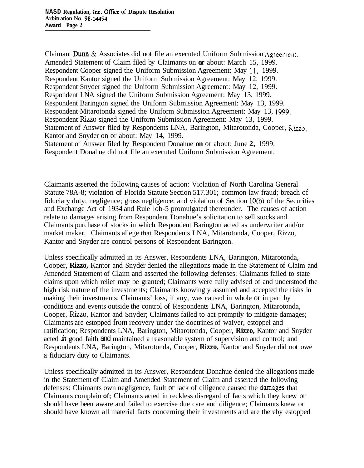Claimant **Dum** & Associates did not file an executed Uniform Submission Agreement. Amended Statement of Claim filed by Claimants on **or** about: March 15, 1999. Respondent Cooper signed the Uniform Submission Agreement: May 11, 1999. Respondent Kantor signed the Uniform Submission Agreement: May 12, 1999. Respondent Snyder signed the Uniform Submission Agreement: May 12, 1999. Respondent LNA signed the Uniform Submission Agreement: May 13, 1999. Respondent Barington signed the Uniform Submission Agreement: May 13, 1999. Respondent Mitarotonda signed the Uniform Submission Agreement: May 13, 1999. Respondent Rizzo signed the Uniform Submission Agreement: May 13, 1999. Statement of Answer filed by Respondents LNA, Barington, Mitarotonda, Cooper, *Rizzo,*  Kantor and Snyder on or about: May 14, 1999. Statement of Answer filed by Respondent Donahue **on** or about: June **2,** 1999. Respondent Donahue did not file an executed Uniform Submission Agreement.

Claimants asserted the following causes of action: Violation of North Carolina General Statute 78A-8; violation of Florida Statute Section 517.301; common law fraud; breach of fiduciary duty; negligence; gross negligence; and violation of Section 10(b) of the Securities and Exchange Act of 1934 and Rule lob-5 promulgated thereunder. The causes of action relate to damages arising from Respondent Donahue's solicitation to sell stocks and Claimants purchase of stocks in which Respondent Barington acted as underwriter and/or market maker. Claimants allege that Respondents LNA, Mitarotonda, Cooper, Rizzo, Kantor and Snyder are control persons of Respondent Barington.

Unless specifically admitted in its Answer, Respondents LNA, Barington, Mitarotonda, Cooper, **Rizzo,** Kantor and Snyder denied the allegations made in the Statement of Claim and Amended Statement of Claim and asserted the following defenses: Claimants failed to state claims upon which relief may be granted; Claimants were fully advised of and understood the high risk nature of the investments; Claimants knowingly assumed and accepted the risks in making their investments; Claimants' loss, if any, was caused in whole or in part by conditions and events outside the control of Respondents LNA, Barington, Mitarotonda, Cooper, Rizzo, Kantor and Snyder; Claimants failed to act promptly to mitigate damages; Claimants are estopped from recovery under the doctrines of waiver, estoppel and ratification; Respondents LNA, Barington, Mitarotonda, Cooper, **Rizzo,** Kantor and Snyder acted *in* good faith and maintained a reasonable system of supervision and control; and Respondents LNA, Barington, Mitarotonda, Cooper, **Rizzo,** Kantor and Snyder did not owe a fiduciary duty to Claimants.

Unless specifically admitted in its Answer, Respondent Donahue denied the allegations made in the Statement of Claim and Amended Statement of Claim and asserted the following defenses: Claimants own negligence, fault or lack of diligence caused the damages that Claimants complain **of;** Claimants acted in reckless disregard of facts which they knew or should have been aware and failed to exercise due care and diligence; Claimants knew or should have known all material facts concerning their investments and are thereby estopped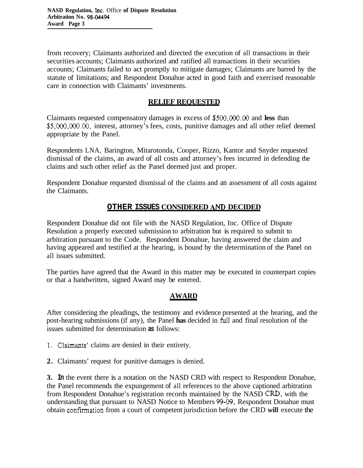from recovery; Claimants authorized and directed the execution of all transactions in their securities accounts; Claimants authorized and ratified all transactions in their securities accounts; Claimants failed to act promptly to mitigate damages; Claimants are barred by the statute of limitations; and Respondent Donahue acted in good faith and exercised reasonable care in connection with Claimants' investments.

## **RELIEF REQUESTED**

Claimants requested compensatory damages in excess of **\$500,000.00** and **less** than *\$5,000,000.00,* interest, attorney's fees, costs, punitive damages and all other relief deemed appropriate by the Panel.

Respondents LNA, Barington, Mitarotonda, Cooper, Rizzo, Kantor and Snyder requested dismissal of the claims, an award of all costs and attorney's fees incurred in defending the claims and such other relief as the Panel deemed just and proper.

Respondent Donahue requested dismissal of the claims and an assessment of all costs against the Claimants.

## **OTHER ISSUES CONSIDERED** *AND* **DECIDED**

Respondent Donahue did not file with the NASD Regulation, Inc. Office of Dispute Resolution a properly executed submission to arbitration but is required to submit to arbitration pursuant to the Code. Respondent Donahue, having answered the claim and having appeared and testified at the hearing, is bound by the determination of the Panel on all issues submitted.

The parties have agreed that the Award in this matter may be executed in counterpart copies or that a handwritten, signed Award may be entered.

## **AWARD**

After considering the pleadings, the testimony and evidence presented at the hearing, and the post-hearing submissions (if any), the Panel **has** decided in **full** and final resolution of the issues submitted for determination **as** follows:

- 1. Claimants' claims are denied in their entirety.
- **2.** Claimants' request for punitive damages is denied.

**3. In** the event there is a notation on the NASD CRD with respect to Respondent Donahue, the Panel recommends the expungement of all references to the above captioned arbitration from Respondent Donahue's registration records maintained by the NASD CRD, with the understanding that pursuant to NASD Notice to Members **99-09.** Respondent Donahue must obtain confirmation from a court of competent jurisdiction before the CRD **will** execute the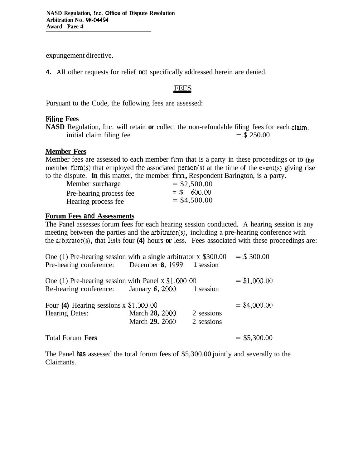expungement directive.

**4.** All other requests for relief not specifically addressed herein are denied. ally addressed<br>FEES<br>e assessed:

Pursuant to the Code, the following fees are assessed:

#### **Filing Fees**

**NASD** Regulation, Inc. will retain **or** collect the non-refundable filing fees for each claim:<br>initial claim filing fee  $= $250.00$ initial claim filing fee

#### **Member Fees**

Member fees are assessed to each member firm that is a party in these proceedings or to the member firm(s) that employed the associated person(s) at the time of the event(s) giving rise to the dispute. In this matter, the member fm, Respondent Barington, is a party.

| Member surcharge        | $=$ \$2,500.00 |
|-------------------------|----------------|
| Pre-hearing process fee | $= $600.00$    |
| Hearing process fee     | $=$ \$4,500.00 |

#### **Forum Fees and Assessments**

The Panel assesses forum fees for each hearing session conducted. A hearing session is any meeting between the parties and the arbitrator(s), including a pre-hearing conference with the arbitrator(s), that **lasts** four **(4)** hours **or** less. Fees associated with these proceedings are:

| One (1) Pre-hearing session with a single arbitrator $x$ \$300.00<br>Pre-hearing conference: December 8, 1999 1 session |                                  |                          | $=$ \$ 300.00  |
|-------------------------------------------------------------------------------------------------------------------------|----------------------------------|--------------------------|----------------|
| One (1) Pre-hearing session with Panel x $$1,000.00$<br>Re-hearing conference: January 6, 2000 1 session                |                                  |                          | $=$ \$1,000.00 |
| Four (4) Hearing sessions $x$ \$1,000.00                                                                                |                                  |                          | $=$ \$4,000.00 |
| <b>Hearing Dates:</b>                                                                                                   | March 28, 2000<br>March 29. 2000 | 2 sessions<br>2 sessions |                |
| <b>Total Forum Fees</b>                                                                                                 |                                  |                          | $=$ \$5,300.00 |

The Panel **has** assessed the total forum fees of \$5,300.00 jointly and severally to the Claimants.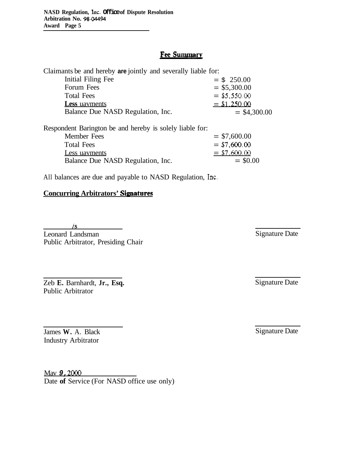## **Fee Summary**

| Claimants be and hereby <b>are</b> jointly and severally liable for: |                |
|----------------------------------------------------------------------|----------------|
| Initial Filing Fee                                                   | $= $250.00$    |
| Forum Fees                                                           | $=$ \$5,300.00 |
| <b>Total Fees</b>                                                    | $= $5,550.00$  |
| <b>Less</b> uavments                                                 | $=$ \$1,250.00 |
| Balance Due NASD Regulation, Inc.                                    | $=$ \$4,300.00 |
|                                                                      |                |

| Respondent Barington be and hereby is solely liable for: |               |
|----------------------------------------------------------|---------------|
| Member Fees                                              | $= $7,600.00$ |
| <b>Total Fees</b>                                        | $= $7,600.00$ |
| Less uavments                                            | $= $7,600.00$ |
| Balance Due NASD Regulation, Inc.                        | $=$ \$0.00    |

All balances are due and payable to NASD Regulation, Inc.

## **Concurring Arbitrators' Signatures**

*Is* 

Leonard Landsman Public Arbitrator, Presiding Chair

Zeb **E.** Barnhardt, **Jr., Esq.**  Public Arbitrator

James **W.** A. Black Industry Arbitrator

Mav *9,* 2000 Date of Service (For NASD office use only) Signature Date

Signature Date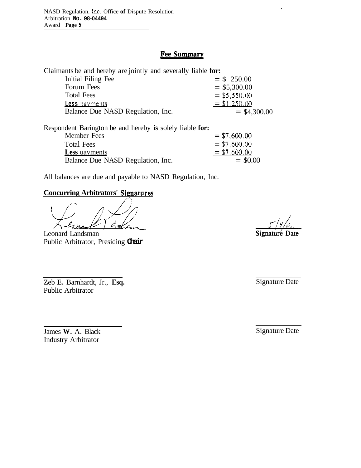## **Fee Summary**

| Claimants be and hereby are jointly and severally liable for: |                |
|---------------------------------------------------------------|----------------|
| Initial Filing Fee                                            | $= $250.00$    |
| Forum Fees                                                    | $=$ \$5,300.00 |
| <b>Total Fees</b>                                             | $= $5,550.00$  |
| Less payments                                                 | $= $1,250.00$  |
| Balance Due NASD Regulation, Inc.                             | $=$ \$4,300.00 |

Respondent Barington be and hereby **is** solely liable **for:**  Member Fees  $= $7,600.00$ Total Fees  $= $7,600.00$ **Less uavments**<br>Balance Due NASD Regulation, Inc.  $= $7,600.00$ <br>= \$0.00 Balance Due NASD Regulation, Inc.

All balances are due and payable to NASD Regulation, Inc.

## **Concurring Arbitrators' Sienatures**

Cret  $\mathscr{L}$ ba

Leonard Landsman Public Arbitrator, Presiding **Chair** 

Zeb **E.** Barnhardt, Jr., **Esq.**  Public Arbitrator

James **W.** A. Black Industry Arbitrator

Signaturé Date

Signature Date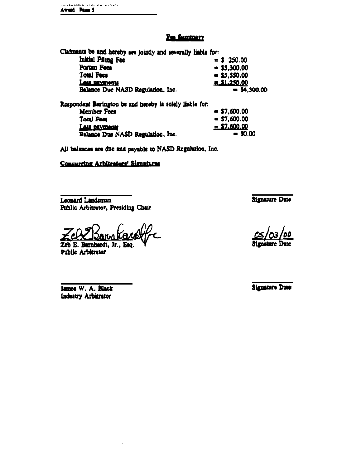#### **Fee Summery**

Claimants be and hereby are jointly and severally liable for: Initial Piling Fee  $= $ 250.00$ Forum Fees  $= $5,300.00$ **Total Fees**  $= $5,550.00$  $=$  \$1,250.00 Less payments Balance Due NASD Regulation, Inc.  $= $4,300.00$ 

Respondent Barington be and hereby is solely liable for: Member Fees  $= $7,600.00$ **Total Fees**  $-$  \$7,600.00  $=$  \$7,600.00 Lass payments  $-50.00$ Balance Due NASD Regulation, Inc.

All balances are due and payable to NASD Regulation, Inc.

#### Concurring Arhitentors' Signatures

Leonard Landsman Public Arbitrator, Presiding Chair

Zeb E. Barnhardt, Jr., Public Arbitrator

James W. A. Black **Industry Arbitrator** 

**Signature Date** 

**Henature Date**